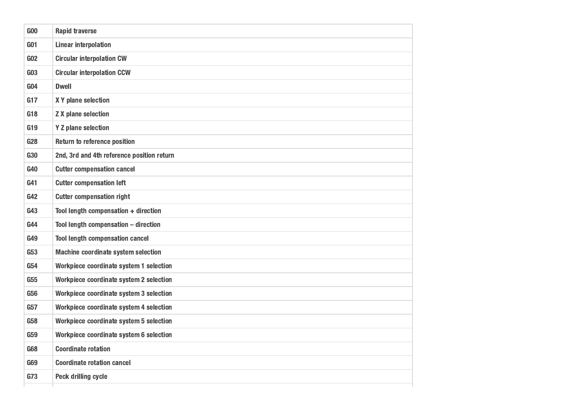| G00             | <b>Rapid traverse</b>                      |
|-----------------|--------------------------------------------|
| G <sub>01</sub> | <b>Linear interpolation</b>                |
| G02             | <b>Circular interpolation CW</b>           |
| G03             | <b>Circular interpolation CCW</b>          |
| G <sub>04</sub> | <b>Dwell</b>                               |
| G17             | X Y plane selection                        |
| G18             | <b>Z X plane selection</b>                 |
| G19             | <b>Y Z plane selection</b>                 |
| G28             | <b>Return to reference position</b>        |
| <b>G30</b>      | 2nd, 3rd and 4th reference position return |
| <b>G40</b>      | <b>Cutter compensation cancel</b>          |
| G41             | <b>Cutter compensation left</b>            |
| G42             | <b>Cutter compensation right</b>           |
| G43             | Tool length compensation + direction       |
| <b>G44</b>      | Tool length compensation - direction       |
| G49             | <b>Tool length compensation cancel</b>     |
| G53             | <b>Machine coordinate system selection</b> |
| G54             | Workpiece coordinate system 1 selection    |
| G55             | Workpiece coordinate system 2 selection    |
| <b>G56</b>      | Workpiece coordinate system 3 selection    |
| G57             | Workpiece coordinate system 4 selection    |
| <b>G58</b>      | Workpiece coordinate system 5 selection    |
| <b>G59</b>      | Workpiece coordinate system 6 selection    |
| <b>G68</b>      | <b>Coordinate rotation</b>                 |
| <b>G69</b>      | <b>Coordinate rotation cancel</b>          |
| G73             | <b>Peck drilling cycle</b>                 |
|                 |                                            |